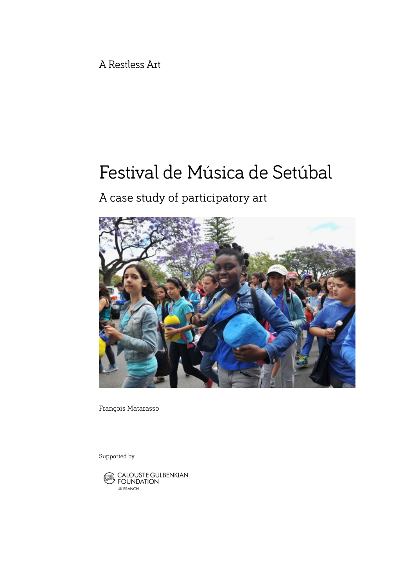A Restless Art

# Festival de Música de Setúbal

A case study of participatory art



François Matarasso

Supported by

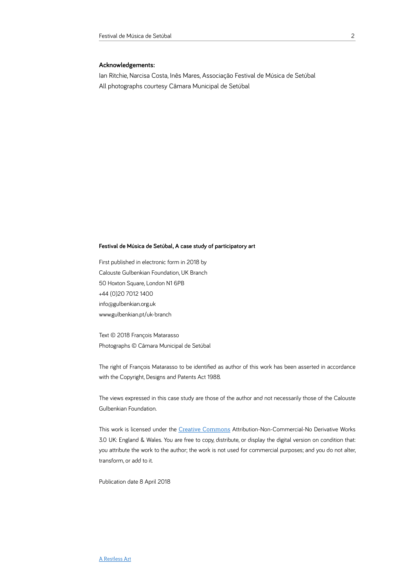## **Acknowledgements:**

Ian Ritchie, Narcisa Costa, Inês Mares, Associação Festival de Música de Setúbal All photographs courtesy Câmara Municipal de Setúbal

#### **Festival de Música de Setúbal, A case study of participatory art**

First published in electronic form in 2018 by Calouste Gulbenkian Foundation, UK Branch 50 Hoxton Square, London N1 6PB +44 (0)20 7012 1400 info@gulbenkian.org.uk www.gulbenkian.pt/uk-branch

Text © 2018 François Matarasso Photographs © Câmara Municipal de Setúbal

The right of François Matarasso to be identified as author of this work has been asserted in accordance with the Copyright, Designs and Patents Act 1988.

The views expressed in this case study are those of the author and not necessarily those of the Calouste Gulbenkian Foundation.

This work is licensed under the [Creative Commons](http://creativecommons.org/licenses/by-nc-nd/2.0/uk/) Attribution-Non-Commercial-No Derivative Works 3.0 UK: England & Wales. You are free to copy, distribute, or display the digital version on condition that: you attribute the work to the author; the work is not used for commercial purposes; and you do not alter, transform, or add to it.

Publication date 8 April 2018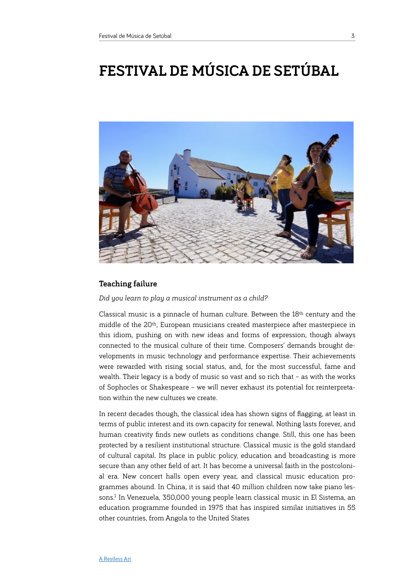# **FESTIVAL DE MÚSICA DE SETÚBAL**



# **Teaching failure**

*Did you learn to play a musical instrument as a child?* 

Classical music is a pinnacle of human culture. Between the  $18<sup>th</sup>$  century and the middle of the 20<sup>th</sup>, European musicians created masterpiece after masterpiece in this idiom, pushing on with new ideas and forms of expression, though always connected to the musical culture of their time. Composers' demands brought developments in music technology and performance expertise. Their achievements were rewarded with rising social status, and, for the most successful, fame and wealth. Their legacy is a body of music so vast and so rich that – as with the works of Sophocles or Shakespeare – we will never exhaust its potential for reinterpretation within the new cultures we create.

<span id="page-2-0"></span>In recent decades though, the classical idea has shown signs of flagging, at least in terms of public interest and its own capacity for renewal. Nothing lasts forever, and human creativity finds new outlets as conditions change. Still, this one has been protected by a resilient institutional structure. Classical music is the gold standard of cultural capital. Its place in public policy, education and broadcasting is more secure than any other field of art. It has become a universal faith in the postcolonial era. New concert halls open every year, and classical music education programmes abound. In China, it is said that 40 million children now take piano les-sons[.](#page-11-0)<sup>[1](#page-11-0)</sup> In Venezuela, 350,000 young people learn classical music in El Sistema, an education programme founded in 1975 that has inspired similar initiatives in 55 other countries, from Angola to the United States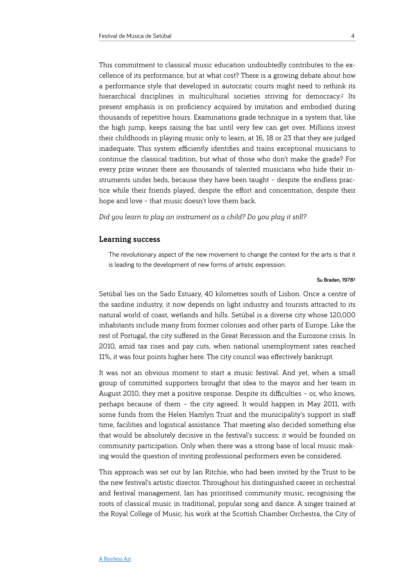This commitment to classical music education undoubtedly contributes to the excellence of its performance, but at what cost? There is a growing debate about how a performance style that developed in autocratic courts might need to rethink its hierarchical disciplines in multicultural societies striving for democracy[.](#page-11-1)<sup>[2](#page-11-1)</sup> Its present emphasis is on proficiency acquired by imitation and embodied during thousands of repetitive hours. Examinations grade technique in a system that, like the high jump, keeps raising the bar until very few can get over. Millions invest their childhoods in playing music only to learn, at 16, 18 or 23 that they are judged inadequate. This system efficiently identifies and trains exceptional musicians to continue the classical tradition, but what of those who don't make the grade? For every prize winner there are thousands of talented musicians who hide their instruments under beds, because they have been taught – despite the endless practice while their friends played, despite the efort and concentration, despite their hope and love – that music doesn't love them back.

*Did you learn to play an instrument as a child? Do you play it still?* 

# **Learning success**

The revolutionary aspect of the new movement to change the context for the arts is that it is leading to the development of new forms of artistic expression.

#### <span id="page-3-1"></span><span id="page-3-0"></span>**Su Braden, 1978[3](#page-11-2)**

Setúbal lies on the Sado Estuary, 40 kilometres south of Lisbon. Once a centre of the sardine industry, it now depends on light industry and tourists attracted to its natural world of coast, wetlands and hills. Setúbal is a diverse city whose 120,000 inhabitants include many from former colonies and other parts of Europe. Like the rest of Portugal, the city sufered in the Great Recession and the Eurozone crisis. In 2010, amid tax rises and pay cuts, when national unemployment rates reached 11%, it was four points higher here. The city council was efectively bankrupt.

It was not an obvious moment to start a music festival. And yet, when a small group of committed supporters brought that idea to the mayor and her team in August 2010, they met a positive response. Despite its difculties – or, who knows, perhaps because of them – the city agreed. It would happen in May 2011, with some funds from the Helen Hamlyn Trust and the municipality's support in staf time, facilities and logistical assistance. That meeting also decided something else that would be absolutely decisive in the festival's success: it would be founded on community participation. Only when there was a strong base of local music making would the question of inviting professional performers even be considered.

This approach was set out by Ian Ritchie, who had been invited by the Trust to be the new festival's artistic director. Throughout his distinguished career in orchestral and festival management, Ian has prioritised community music, recognising the roots of classical music in traditional, popular song and dance. A singer trained at the Royal College of Music, his work at the Scottish Chamber Orchestra, the City of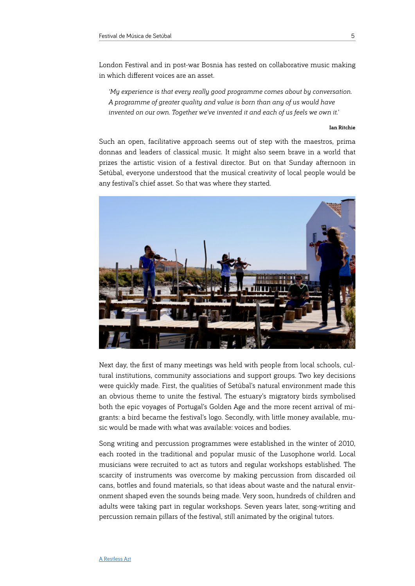London Festival and in post-war Bosnia has rested on collaborative music making in which diferent voices are an asset.

*'My experience is that every really good programme comes about by conversation. A programme of greater quality and value is born than any of us would have invented on our own. Together we've invented it and each of us feels we own it.'* 

#### **Ian Ritchie**

Such an open, facilitative approach seems out of step with the maestros, prima donnas and leaders of classical music. It might also seem brave in a world that prizes the artistic vision of a festival director. But on that Sunday afternoon in Setúbal, everyone understood that the musical creativity of local people would be any festival's chief asset. So that was where they started.



Next day, the first of many meetings was held with people from local schools, cultural institutions, community associations and support groups. Two key decisions were quickly made. First, the qualities of Setúbal's natural environment made this an obvious theme to unite the festival. The estuary's migratory birds symbolised both the epic voyages of Portugal's Golden Age and the more recent arrival of migrants: a bird became the festival's logo. Secondly, with little money available, music would be made with what was available: voices and bodies.

Song writing and percussion programmes were established in the winter of 2010, each rooted in the traditional and popular music of the Lusophone world. Local musicians were recruited to act as tutors and regular workshops established. The scarcity of instruments was overcome by making percussion from discarded oil cans, bottles and found materials, so that ideas about waste and the natural environment shaped even the sounds being made. Very soon, hundreds of children and adults were taking part in regular workshops. Seven years later, song-writing and percussion remain pillars of the festival, still animated by the original tutors.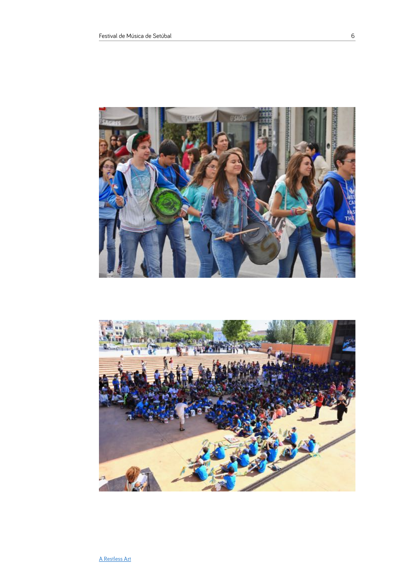



[A Restless Art](http://www.apple.com)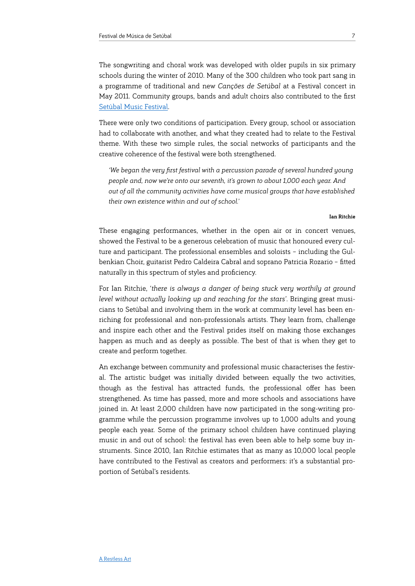The songwriting and choral work was developed with older pupils in six primary schools during the winter of 2010. Many of the 300 children who took part sang in a programme of traditional and new *Canções de Setúbal* at a Festival concert in May 2011. Community groups, bands and adult choirs also contributed to the first [Setúbal Music Festival](http://www.festivalmusicadesetubal.com.pt/).

There were only two conditions of participation. Every group, school or association had to collaborate with another, and what they created had to relate to the Festival theme. With these two simple rules, the social networks of participants and the creative coherence of the festival were both strengthened.

'We began the very first festival with a percussion parade of several hundred young *people and, now we're onto our seventh, it's grown to about 1,000 each year. And out of all the community activities have come musical groups that have established their own existence within and out of school.'* 

#### **Ian Ritchie**

These engaging performances, whether in the open air or in concert venues, showed the Festival to be a generous celebration of music that honoured every culture and participant. The professional ensembles and soloists – including the Gulbenkian Choir, guitarist Pedro Caldeira Cabral and soprano Patricia Rozario – fitted naturally in this spectrum of styles and proficiency.

For Ian Ritchie, '*there is always a danger of being stuck very worthily at ground level without actually looking up and reaching for the stars'*. Bringing great musicians to Setúbal and involving them in the work at community level has been enriching for professional and non-professionals artists. They learn from, challenge and inspire each other and the Festival prides itself on making those exchanges happen as much and as deeply as possible. The best of that is when they get to create and perform together.

An exchange between community and professional music characterises the festival. The artistic budget was initially divided between equally the two activities, though as the festival has attracted funds, the professional offer has been strengthened. As time has passed, more and more schools and associations have joined in. At least 2,000 children have now participated in the song-writing programme while the percussion programme involves up to 1,000 adults and young people each year. Some of the primary school children have continued playing music in and out of school: the festival has even been able to help some buy instruments. Since 2010, Ian Ritchie estimates that as many as 10,000 local people have contributed to the Festival as creators and performers: it's a substantial proportion of Setúbal's residents.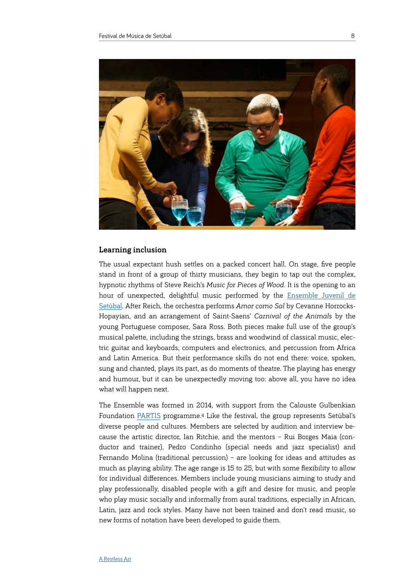

# **Learning inclusion**

The usual expectant hush settles on a packed concert hall. On stage, five people stand in front of a group of thirty musicians, they begin to tap out the complex, hypnotic rhythms of Steve Reich's *Music for Pieces of Wood*. It is the opening to an hour of unexpected, delightful music performed by the [Ensemble Juvenil de](http://www.festivalmusicadesetubal.com.pt/ensemble-juvenil/) [Setúbal](http://www.festivalmusicadesetubal.com.pt/ensemble-juvenil/). After Reich, the orchestra performs *Amor como Sal* by Cevanne Horrocks-Hopayian, and an arrangement of Saint-Saens' *Carnival of the Animals* by the young Portuguese composer, Sara Ross. Both pieces make full use of the group's musical palette, including the strings, brass and woodwind of classical music, electric guitar and keyboards, computers and electronics, and percussion from Africa and Latin America. But their performance skills do not end there: voice, spoken, sung and chanted, plays its part, as do moments of theatre. The playing has energy and humour, but it can be unexpectedly moving too: above all, you have no idea what will happen next.

<span id="page-7-0"></span>The Ensemble was formed in 2014, with support from the Calouste Gulbenkian Foundation [PARTIS](https://gulbenkian.pt/project/partis/) programme.<sup>[4](#page-11-3)</sup> Like the festival, the group represents Setúbal's diverse people and cultures. Members are selected by audition and interview because the artistic director, Ian Ritchie, and the mentors – Rui Borges Maia (conductor and trainer), Pedro Condinho (special needs and jazz specialist) and Fernando Molina (traditional percussion) – are looking for ideas and attitudes as much as playing ability. The age range is 15 to 25, but with some flexibility to allow for individual diferences. Members include young musicians aiming to study and play professionally, disabled people with a gift and desire for music, and people who play music socially and informally from aural traditions, especially in African, Latin, jazz and rock styles. Many have not been trained and don't read music, so new forms of notation have been developed to guide them.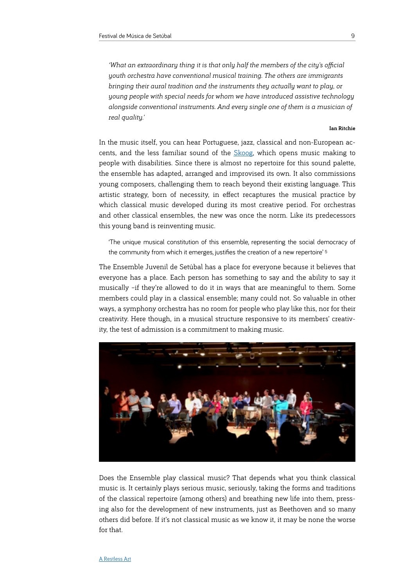*'What an extraordinary thing it is that only half the members of the city's ofcial youth orchestra have conventional musical training. The others are immigrants bringing their aural tradition and the instruments they actually want to play, or young people with special needs for whom we have introduced assistive technology alongside conventional instruments. And every single one of them is a musician of real quality.'* 

#### <span id="page-8-0"></span>**Ian Ritchie**

In the music itself, you can hear Portuguese, jazz, classical and non-European accents, and the less familiar sound of the [Skoog](http://skoogmusic.com/), which opens music making to people with disabilities. Since there is almost no repertoire for this sound palette, the ensemble has adapted, arranged and improvised its own. It also commissions young composers, challenging them to reach beyond their existing language. This artistic strategy, born of necessity, in efect recaptures the musical practice by which classical music developed during its most creative period. For orchestras and other classical ensembles, the new was once the norm. Like its predecessors this young band is reinventing music.

'The unique musical constitution of this ensemble, representing the social democracy of the community from which it emerges, justifies the creation of a new repertoire' [5](#page-11-4)

The Ensemble Juvenil de Setúbal has a place for everyone because it believes that everyone has a place. Each person has something to say and the ability to say it musically –if they're allowed to do it in ways that are meaningful to them. Some members could play in a classical ensemble; many could not. So valuable in other ways, a symphony orchestra has no room for people who play like this, nor for their creativity. Here though, in a musical structure responsive to its members' creativity, the test of admission is a commitment to making music.



Does the Ensemble play classical music? That depends what you think classical music is. It certainly plays serious music, seriously, taking the forms and traditions of the classical repertoire (among others) and breathing new life into them, pressing also for the development of new instruments, just as Beethoven and so many others did before. If it's not classical music as we know it, it may be none the worse for that.

### [A Restless Art](http://www.apple.com)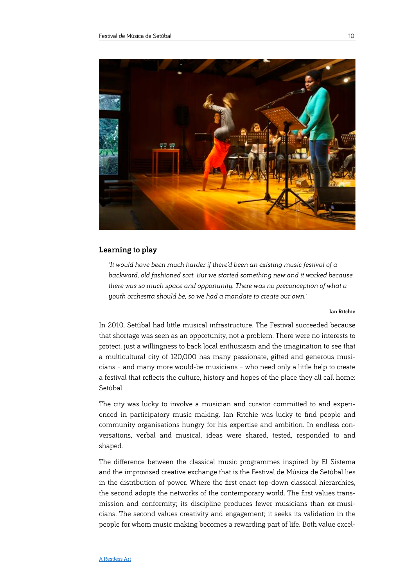

# **Learning to play**

*'It would have been much harder if there'd been an existing music festival of a backward, old fashioned sort. But we started something new and it worked because there was so much space and opportunity. There was no preconception of what a youth orchestra should be, so we had a mandate to create our own.'* 

#### **Ian Ritchie**

In 2010, Setúbal had little musical infrastructure. The Festival succeeded because that shortage was seen as an opportunity, not a problem. There were no interests to protect, just a willingness to back local enthusiasm and the imagination to see that a multicultural city of 120,000 has many passionate, gifted and generous musicians – and many more would-be musicians – who need only a little help to create a festival that reflects the culture, history and hopes of the place they all call home: Setúbal.

The city was lucky to involve a musician and curator committed to and experienced in participatory music making. Ian Ritchie was lucky to find people and community organisations hungry for his expertise and ambition. In endless conversations, verbal and musical, ideas were shared, tested, responded to and shaped.

The diference between the classical music programmes inspired by El Sistema and the improvised creative exchange that is the Festival de Música de Setúbal lies in the distribution of power. Where the first enact top-down classical hierarchies, the second adopts the networks of the contemporary world. The first values transmission and conformity; its discipline produces fewer musicians than ex-musicians. The second values creativity and engagement; it seeks its validation in the people for whom music making becomes a rewarding part of life. Both value excel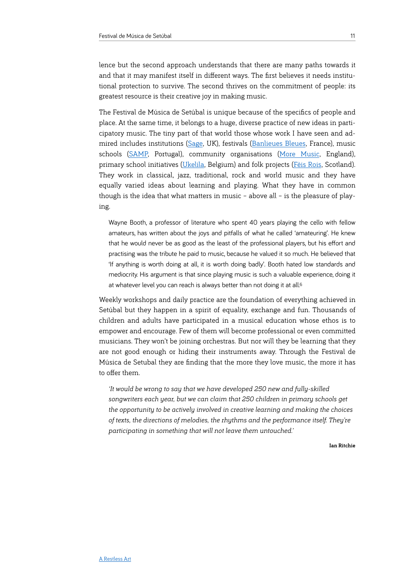lence but the second approach understands that there are many paths towards it and that it may manifest itself in diferent ways. The first believes it needs institutional protection to survive. The second thrives on the commitment of people: its greatest resource is their creative joy in making music.

The Festival de Música de Setúbal is unique because of the specifics of people and place. At the same time, it belongs to a huge, diverse practice of new ideas in participatory music. The tiny part of that world those whose work I have seen and admired includes institutions [\(Sage,](http://www.sagegateshead.com/join-in/) UK), festivals [\(Banlieues Bleues](http://banlieuesbleues.org/), France), music schools [\(SAMP,](http://www.samp.pt/portal/) Portugal), community organisations [\(More Music](http://www.moremusic.org.uk/), England), primary school initiatives ([Ukelila,](http://www.ukelila.be/) Belgium) and folk projects [\(Fèis Rois](http://feisrois.org.uk/index.php?lang=eng&location=welcome), Scotland). They work in classical, jazz, traditional, rock and world music and they have equally varied ideas about learning and playing. What they have in common though is the idea that what matters in music – above all – is the pleasure of playing.

Wayne Booth, a professor of literature who spent 40 years playing the cello with fellow amateurs, has written about the joys and pitfalls of what he called 'amateuring'. He knew that he would never be as good as the least of the professional players, but his efort and practising was the tribute he paid to music, because he valued it so much. He believed that 'If anything is worth doing at all, it is worth doing badly'. Booth hated low standards and mediocrity. His argument is that since playing music is such a valuable experience, doing it at whatever level you can reach is always better than not doing it at all.<sup>6</sup>

Weekly workshops and daily practice are the foundation of everything achieved in Setúbal but they happen in a spirit of equality, exchange and fun. Thousands of children and adults have participated in a musical education whose ethos is to empower and encourage. Few of them will become professional or even committed musicians. They won't be joining orchestras. But nor will they be learning that they are not good enough or hiding their instruments away. Through the Festival de Música de Setubal they are finding that the more they love music, the more it has to offer them.

*'It would be wrong to say that we have developed 250 new and fully-skilled songwriters each year, but we can claim that 250 children in primary schools get the opportunity to be actively involved in creative learning and making the choices of texts, the directions of melodies, the rhythms and the performance itself. They're participating in something that will not leave them untouched.'* 

<span id="page-10-0"></span>**Ian Ritchie**